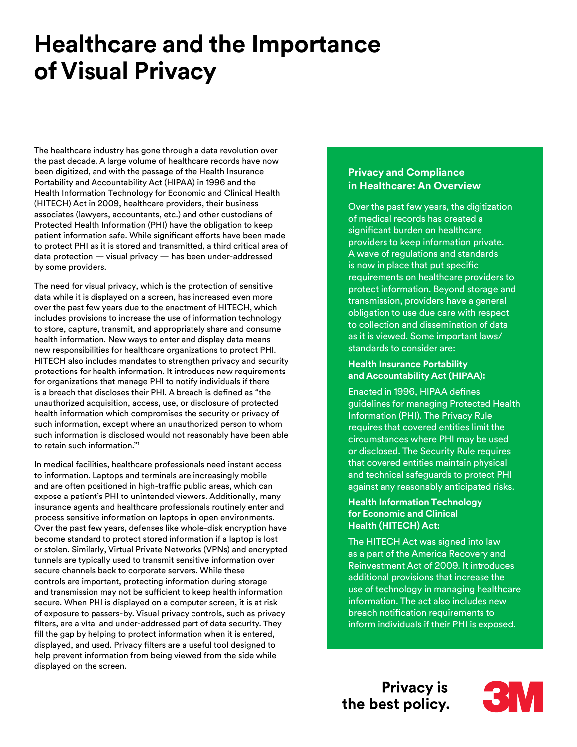# **Healthcare and the Importance of Visual Privacy**

The healthcare industry has gone through a data revolution over the past decade. A large volume of healthcare records have now been digitized, and with the passage of the Health Insurance Portability and Accountability Act (HIPAA) in 1996 and the Health Information Technology for Economic and Clinical Health (HITECH) Act in 2009, healthcare providers, their business associates (lawyers, accountants, etc.) and other custodians of Protected Health Information (PHI) have the obligation to keep patient information safe. While significant efforts have been made to protect PHI as it is stored and transmitted, a third critical area of data protection — visual privacy — has been under-addressed by some providers.

The need for visual privacy, which is the protection of sensitive data while it is displayed on a screen, has increased even more over the past few years due to the enactment of HITECH, which includes provisions to increase the use of information technology to store, capture, transmit, and appropriately share and consume health information. New ways to enter and display data means new responsibilities for healthcare organizations to protect PHI. HITECH also includes mandates to strengthen privacy and security protections for health information. It introduces new requirements for organizations that manage PHI to notify individuals if there is a breach that discloses their PHI. A breach is defined as "the unauthorized acquisition, access, use, or disclosure of protected health information which compromises the security or privacy of such information, except where an unauthorized person to whom such information is disclosed would not reasonably have been able to retain such information."1

In medical facilities, healthcare professionals need instant access to information. Laptops and terminals are increasingly mobile and are often positioned in high-traffic public areas, which can expose a patient's PHI to unintended viewers. Additionally, many insurance agents and healthcare professionals routinely enter and process sensitive information on laptops in open environments. Over the past few years, defenses like whole-disk encryption have become standard to protect stored information if a laptop is lost or stolen. Similarly, Virtual Private Networks (VPNs) and encrypted tunnels are typically used to transmit sensitive information over secure channels back to corporate servers. While these controls are important, protecting information during storage and transmission may not be sufficient to keep health information secure. When PHI is displayed on a computer screen, it is at risk of exposure to passers-by. Visual privacy controls, such as privacy filters, are a vital and under-addressed part of data security. They fill the gap by helping to protect information when it is entered, displayed, and used. Privacy filters are a useful tool designed to help prevent information from being viewed from the side while displayed on the screen.

### **Privacy and Compliance in Healthcare: An Overview**

Over the past few years, the digitization of medical records has created a significant burden on healthcare providers to keep information private. A wave of regulations and standards is now in place that put specific requirements on healthcare providers to protect information. Beyond storage and transmission, providers have a general obligation to use due care with respect to collection and dissemination of data as it is viewed. Some important laws/ standards to consider are:

#### **Health Insurance Portability and Accountability Act (HIPAA):**

Enacted in 1996, HIPAA defines guidelines for managing Protected Health Information (PHI). The Privacy Rule requires that covered entities limit the circumstances where PHI may be used or disclosed. The Security Rule requires that covered entities maintain physical and technical safeguards to protect PHI against any reasonably anticipated risks.

#### **Health Information Technology for Economic and Clinical Health (HITECH) Act:**

The HITECH Act was signed into law as a part of the America Recovery and Reinvestment Act of 2009. It introduces additional provisions that increase the use of technology in managing healthcare information. The act also includes new breach notification requirements to inform individuals if their PHI is exposed.